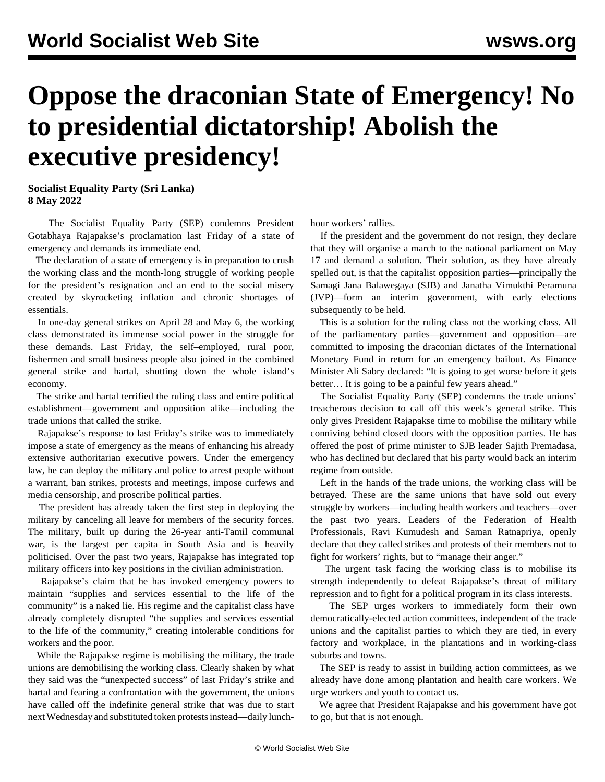## **Oppose the draconian State of Emergency! No to presidential dictatorship! Abolish the executive presidency!**

**Socialist Equality Party (Sri Lanka) 8 May 2022**

 The Socialist Equality Party (SEP) condemns President Gotabhaya Rajapakse's proclamation last Friday of a state of emergency and demands its immediate end.

 The declaration of a state of emergency is in preparation to crush the working class and the month-long struggle of working people for the president's resignation and an end to the social misery created by skyrocketing inflation and chronic shortages of essentials.

 In one-day general strikes on April 28 and May 6, the working class demonstrated its immense social power in the struggle for these demands. Last Friday, the self–employed, rural poor, fishermen and small business people also joined in the combined general strike and hartal, shutting down the whole island's economy.

 The strike and hartal terrified the ruling class and entire political establishment—government and opposition alike—including the trade unions that called the strike.

 Rajapakse's response to last Friday's strike was to immediately impose a state of emergency as the means of enhancing his already extensive authoritarian executive powers. Under the emergency law, he can deploy the military and police to arrest people without a warrant, ban strikes, protests and meetings, impose curfews and media censorship, and proscribe political parties.

 The president has already taken the first step in deploying the military by canceling all leave for members of the security forces. The military, built up during the 26-year anti-Tamil communal war, is the largest per capita in South Asia and is heavily politicised. Over the past two years, Rajapakse has integrated top military officers into key positions in the civilian administration.

 Rajapakse's claim that he has invoked emergency powers to maintain "supplies and services essential to the life of the community" is a naked lie. His regime and the capitalist class have already completely disrupted "the supplies and services essential to the life of the community," creating intolerable conditions for workers and the poor.

 While the Rajapakse regime is mobilising the military, the trade unions are demobilising the working class. Clearly shaken by what they said was the "unexpected success" of last Friday's strike and hartal and fearing a confrontation with the government, the unions have called off the indefinite general strike that was due to start next Wednesday and substituted token protests instead—daily lunchhour workers' rallies.

 If the president and the government do not resign, they declare that they will organise a march to the national parliament on May 17 and demand a solution. Their solution, as they have already spelled out, is that the capitalist opposition parties—principally the Samagi Jana Balawegaya (SJB) and Janatha Vimukthi Peramuna (JVP)—form an interim government, with early elections subsequently to be held.

 This is a solution for the ruling class not the working class. All of the parliamentary parties—government and opposition—are committed to imposing the draconian dictates of the International Monetary Fund in return for an emergency bailout. As Finance Minister Ali Sabry declared: "It is going to get worse before it gets better… It is going to be a painful few years ahead."

 The Socialist Equality Party (SEP) condemns the trade unions' treacherous decision to call off this week's general strike. This only gives President Rajapakse time to mobilise the military while conniving behind closed doors with the opposition parties. He has offered the post of prime minister to SJB leader Sajith Premadasa, who has declined but declared that his party would back an interim regime from outside.

 Left in the hands of the trade unions, the working class will be betrayed. These are the same unions that have sold out every struggle by workers—including health workers and teachers—over the past two years. Leaders of the Federation of Health Professionals, Ravi Kumudesh and Saman Ratnapriya, openly declare that they called strikes and protests of their members not to fight for workers' rights, but to "manage their anger."

 The urgent task facing the working class is to mobilise its strength independently to defeat Rajapakse's threat of military repression and to fight for a political program in its class interests.

 The SEP urges workers to immediately form their own democratically-elected action committees, independent of the trade unions and the capitalist parties to which they are tied, in every factory and workplace, in the plantations and in working-class suburbs and towns.

 The SEP is ready to assist in building action committees, as we already have done among plantation and health care workers. We urge workers and youth to contact us.

 We agree that President Rajapakse and his government have got to go, but that is not enough.